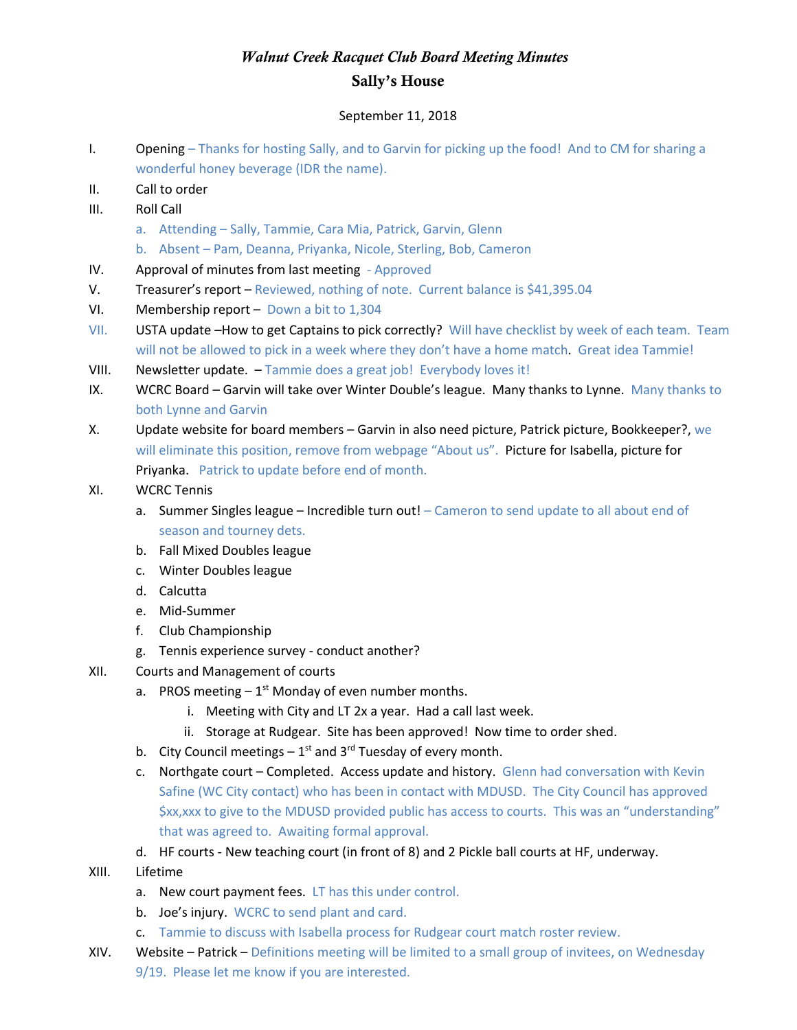## *Walnut Creek Racquet Club Board Meeting Minutes* Sally's House

## September 11, 2018

- I. Opening Thanks for hosting Sally, and to Garvin for picking up the food! And to CM for sharing a wonderful honey beverage (IDR the name).
- II. Call to order
- III. Roll Call
	- a. Attending Sally, Tammie, Cara Mia, Patrick, Garvin, Glenn
	- b. Absent Pam, Deanna, Priyanka, Nicole, Sterling, Bob, Cameron
- IV. Approval of minutes from last meeting Approved
- V. Treasurer's report Reviewed, nothing of note. Current balance is \$41,395.04
- VI. Membership report Down a bit to 1,304
- VII. USTA update –How to get Captains to pick correctly? Will have checklist by week of each team. Team will not be allowed to pick in a week where they don't have a home match. Great idea Tammie!
- VIII. Newsletter update. Tammie does a great job! Everybody loves it!
- IX. WCRC Board Garvin will take over Winter Double's league. Many thanks to Lynne. Many thanks to both Lynne and Garvin
- X. Update website for board members Garvin in also need picture, Patrick picture, Bookkeeper?, we will eliminate this position, remove from webpage "About us". Picture for Isabella, picture for Priyanka. Patrick to update before end of month.
- XI. WCRC Tennis
	- a. Summer Singles league Incredible turn out!  $-$  Cameron to send update to all about end of season and tourney dets.
	- b. Fall Mixed Doubles league
	- c. Winter Doubles league
	- d. Calcutta
	- e. Mid-Summer
	- f. Club Championship
	- g. Tennis experience survey conduct another?
- XII. Courts and Management of courts
	- a. PROS meeting  $-1^{st}$  Monday of even number months.
		- i. Meeting with City and LT 2x a year. Had a call last week.
		- ii. Storage at Rudgear. Site has been approved! Now time to order shed.
	- b. City Council meetings  $-1^{st}$  and 3<sup>rd</sup> Tuesday of every month.
	- c. Northgate court Completed. Access update and history. Glenn had conversation with Kevin Safine (WC City contact) who has been in contact with MDUSD. The City Council has approved \$xx,xxx to give to the MDUSD provided public has access to courts. This was an "understanding" that was agreed to. Awaiting formal approval.
	- d. HF courts New teaching court (in front of 8) and 2 Pickle ball courts at HF, underway.
- XIII. Lifetime
	- a. New court payment fees. LT has this under control.
	- b. Joe's injury. WCRC to send plant and card.
	- c. Tammie to discuss with Isabella process for Rudgear court match roster review.
- XIV. Website Patrick Definitions meeting will be limited to a small group of invitees, on Wednesday 9/19. Please let me know if you are interested.